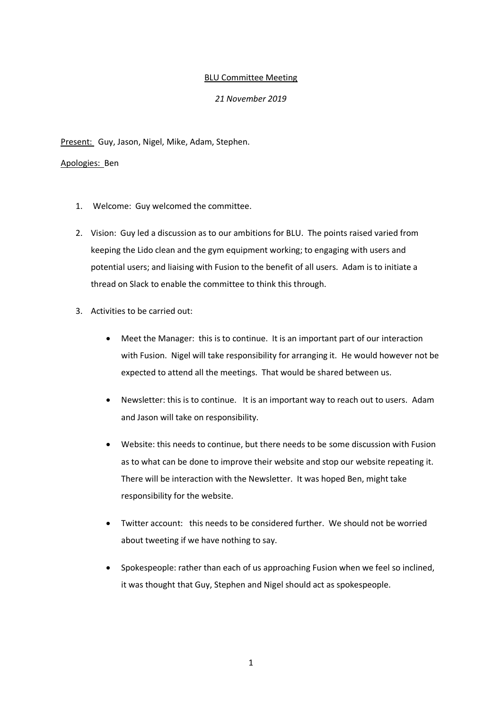## BLU Committee Meeting

## *21 November 2019*

Present: Guy, Jason, Nigel, Mike, Adam, Stephen.

## Apologies: Ben

- 1. Welcome: Guy welcomed the committee.
- 2. Vision: Guy led a discussion as to our ambitions for BLU. The points raised varied from keeping the Lido clean and the gym equipment working; to engaging with users and potential users; and liaising with Fusion to the benefit of all users. Adam is to initiate a thread on Slack to enable the committee to think this through.
- 3. Activities to be carried out:
	- Meet the Manager: this is to continue. It is an important part of our interaction with Fusion. Nigel will take responsibility for arranging it. He would however not be expected to attend all the meetings. That would be shared between us.
	- Newsletter: this is to continue. It is an important way to reach out to users. Adam and Jason will take on responsibility.
	- Website: this needs to continue, but there needs to be some discussion with Fusion as to what can be done to improve their website and stop our website repeating it. There will be interaction with the Newsletter. It was hoped Ben, might take responsibility for the website.
	- Twitter account: this needs to be considered further. We should not be worried about tweeting if we have nothing to say.
	- Spokespeople: rather than each of us approaching Fusion when we feel so inclined, it was thought that Guy, Stephen and Nigel should act as spokespeople.